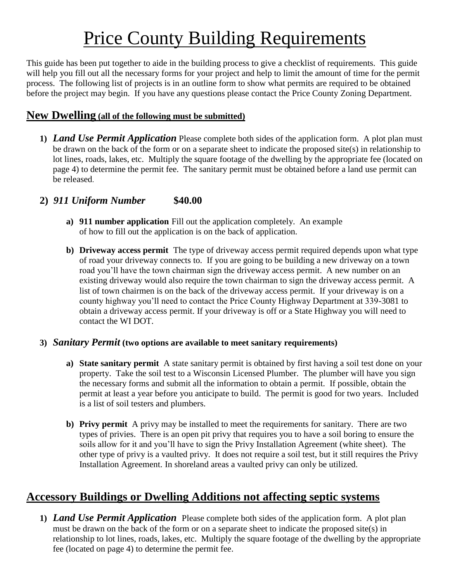# Price County Building Requirements

This guide has been put together to aide in the building process to give a checklist of requirements. This guide will help you fill out all the necessary forms for your project and help to limit the amount of time for the permit process. The following list of projects is in an outline form to show what permits are required to be obtained before the project may begin. If you have any questions please contact the Price County Zoning Department.

#### **New Dwelling (all of the following must be submitted)**

**1)** *Land Use Permit Application* Please complete both sides of the application form. A plot plan must be drawn on the back of the form or on a separate sheet to indicate the proposed site(s) in relationship to lot lines, roads, lakes, etc. Multiply the square footage of the dwelling by the appropriate fee (located on page 4) to determine the permit fee. The sanitary permit must be obtained before a land use permit can be released.

#### **2)** *911 Uniform Number* **\$40.00**

- **a) 911 number application** Fill out the application completely. An example of how to fill out the application is on the back of application.
- **b) Driveway access permit** The type of driveway access permit required depends upon what type of road your driveway connects to. If you are going to be building a new driveway on a town road you'll have the town chairman sign the driveway access permit. A new number on an existing driveway would also require the town chairman to sign the driveway access permit. A list of town chairmen is on the back of the driveway access permit. If your driveway is on a county highway you'll need to contact the Price County Highway Department at 339-3081 to obtain a driveway access permit. If your driveway is off or a State Highway you will need to contact the WI DOT.

#### **3)** *Sanitary Permit* **(two options are available to meet sanitary requirements)**

- **a) State sanitary permit** A state sanitary permit is obtained by first having a soil test done on your property. Take the soil test to a Wisconsin Licensed Plumber. The plumber will have you sign the necessary forms and submit all the information to obtain a permit. If possible, obtain the permit at least a year before you anticipate to build. The permit is good for two years. Included is a list of soil testers and plumbers.
- **b) Privy permit** A privy may be installed to meet the requirements for sanitary. There are two types of privies. There is an open pit privy that requires you to have a soil boring to ensure the soils allow for it and you'll have to sign the Privy Installation Agreement (white sheet). The other type of privy is a vaulted privy. It does not require a soil test, but it still requires the Privy Installation Agreement. In shoreland areas a vaulted privy can only be utilized.

## **Accessory Buildings or Dwelling Additions not affecting septic systems**

**1)** *Land Use Permit Application*Please complete both sides of the application form. A plot plan must be drawn on the back of the form or on a separate sheet to indicate the proposed site(s) in relationship to lot lines, roads, lakes, etc. Multiply the square footage of the dwelling by the appropriate fee (located on page 4) to determine the permit fee.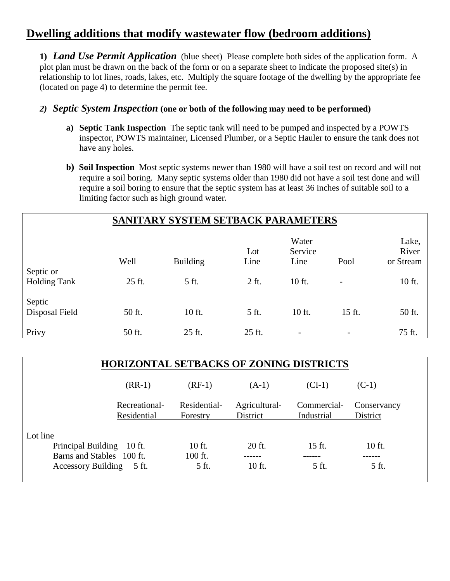## **Dwelling additions that modify wastewater flow (bedroom additions)**

**1)** *Land Use Permit Application*(blue sheet) Please complete both sides of the application form. A plot plan must be drawn on the back of the form or on a separate sheet to indicate the proposed site(s) in relationship to lot lines, roads, lakes, etc. Multiply the square footage of the dwelling by the appropriate fee (located on page 4) to determine the permit fee.

#### *2) Septic System Inspection* **(one or both of the following may need to be performed)**

- **a) Septic Tank Inspection** The septic tank will need to be pumped and inspected by a POWTS inspector, POWTS maintainer, Licensed Plumber, or a Septic Hauler to ensure the tank does not have any holes.
- **b) Soil Inspection** Most septic systems newer than 1980 will have a soil test on record and will not require a soil boring. Many septic systems older than 1980 did not have a soil test done and will require a soil boring to ensure that the septic system has at least 36 inches of suitable soil to a limiting factor such as high ground water.

| SANITARY SYSTEM SETBACK PARAMETERS |        |                 |             |                          |                          |                             |
|------------------------------------|--------|-----------------|-------------|--------------------------|--------------------------|-----------------------------|
|                                    | Well   | <b>Building</b> | Lot<br>Line | Water<br>Service<br>Line | Pool                     | Lake,<br>River<br>or Stream |
| Septic or<br><b>Holding Tank</b>   | 25 ft. | 5 ft.           | $2$ ft.     | 10 ft.                   | -                        | 10 ft.                      |
| Septic<br>Disposal Field           | 50 ft. | 10 ft.          | 5 ft.       | 10 ft.                   | 15 ft.                   | 50 ft.                      |
| Privy                              | 50 ft. | 25 ft.          | 25 ft.      | $\overline{\phantom{a}}$ | $\overline{\phantom{a}}$ | 75 ft.                      |

| <b>HORIZONTAL SETBACKS OF ZONING DISTRICTS</b> |                          |                           |                           |                         |  |
|------------------------------------------------|--------------------------|---------------------------|---------------------------|-------------------------|--|
| $(RR-1)$                                       | $(RF-1)$                 | $(A-1)$                   | $(CI-1)$                  | $(C-1)$                 |  |
| Recreational-<br>Residential                   | Residential-<br>Forestry | Agricultural-<br>District | Commercial-<br>Industrial | Conservancy<br>District |  |
| Lot line                                       |                          |                           |                           |                         |  |
| Principal Building 10 ft.                      | 10 ft.                   | 20 ft.                    | 15 ft.                    | 10 ft.                  |  |
| Barns and Stables 100 ft.                      | 100 ft.                  |                           |                           |                         |  |
| <b>Accessory Building</b><br>5 ft.             | 5 ft.                    | 10 ft.                    | 5 ft.                     | 5 ft.                   |  |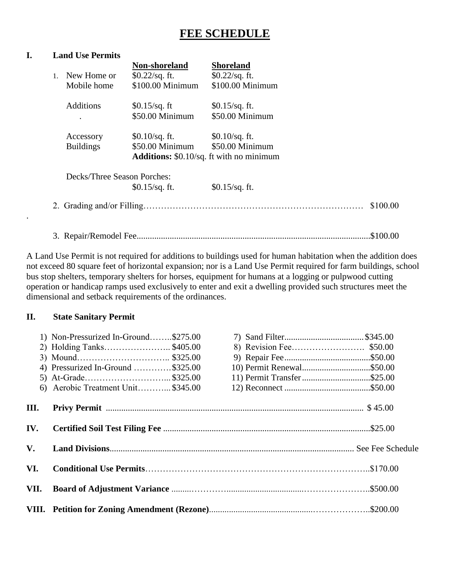## **FEE SCHEDULE**

#### **I. Land Use Permits**

|    |                             | Non-shoreland                                   | <b>Shoreland</b> |          |
|----|-----------------------------|-------------------------------------------------|------------------|----------|
| 1. | New Home or                 | $$0.22$ /sq. ft.                                | $$0.22$ /sq. ft. |          |
|    | Mobile home                 | \$100.00 Minimum                                | \$100.00 Minimum |          |
|    | <b>Additions</b>            | $$0.15$ /sq. ft                                 | $$0.15$ /sq. ft. |          |
|    |                             | \$50.00 Minimum                                 | \$50.00 Minimum  |          |
|    | Accessory                   | $$0.10$ /sq. ft.                                | $$0.10$ /sq. ft. |          |
|    | <b>Buildings</b>            | $$50.00$ Minimum                                | \$50.00 Minimum  |          |
|    |                             | <b>Additions:</b> \$0.10/sq. ft with no minimum |                  |          |
|    | Decks/Three Season Porches: |                                                 |                  |          |
|    |                             | $$0.15/sq.$ ft.                                 | $$0.15$ /sq. ft. |          |
|    |                             |                                                 |                  | \$100.00 |
|    |                             |                                                 |                  | \$100.00 |

A Land Use Permit is not required for additions to buildings used for human habitation when the addition does not exceed 80 square feet of horizontal expansion; nor is a Land Use Permit required for farm buildings, school bus stop shelters, temporary shelters for horses, equipment for humans at a logging or pulpwood cutting operation or handicap ramps used exclusively to enter and exit a dwelling provided such structures meet the dimensional and setback requirements of the ordinances.

#### **II. State Sanitary Permit**

.

|      | 1) Non-Pressurized In-Ground\$275.00 |                            |  |
|------|--------------------------------------|----------------------------|--|
|      | 2) Holding Tanks\$405.00             |                            |  |
|      |                                      |                            |  |
|      | 4) Pressurized In-Ground \$325.00    | 10) Permit Renewal\$50.00  |  |
|      | 5) At-Grade\$325.00                  | 11) Permit Transfer\$25.00 |  |
|      | 6) Aerobic Treatment Unit\$345.00    |                            |  |
| Ш.   |                                      |                            |  |
| IV.  |                                      |                            |  |
| V.   |                                      |                            |  |
| VI.  |                                      |                            |  |
| VII. |                                      |                            |  |
|      |                                      |                            |  |